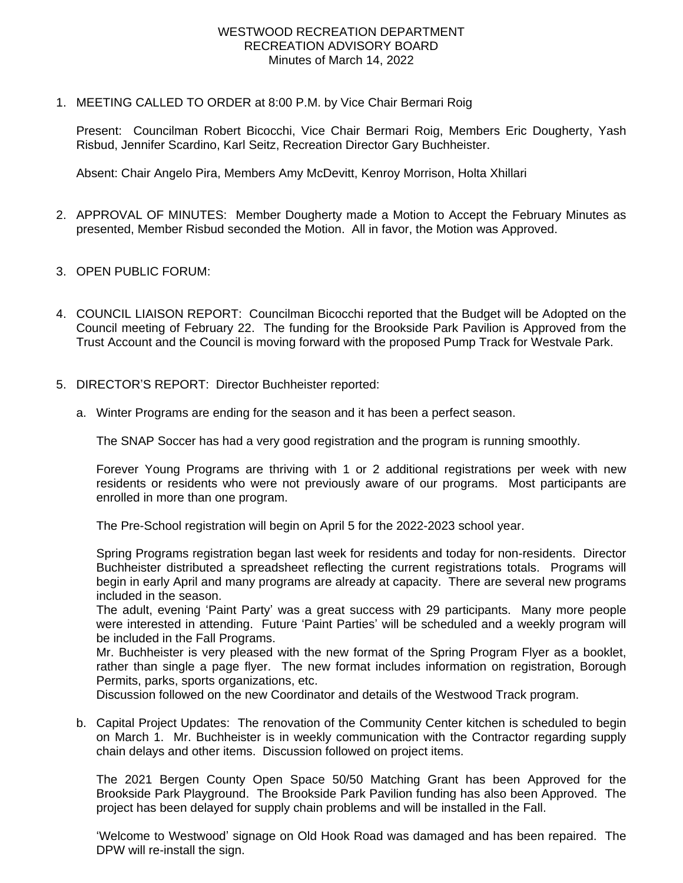## WESTWOOD RECREATION DEPARTMENT RECREATION ADVISORY BOARD Minutes of March 14, 2022

1. MEETING CALLED TO ORDER at 8:00 P.M. by Vice Chair Bermari Roig

Present: Councilman Robert Bicocchi, Vice Chair Bermari Roig, Members Eric Dougherty, Yash Risbud, Jennifer Scardino, Karl Seitz, Recreation Director Gary Buchheister.

Absent: Chair Angelo Pira, Members Amy McDevitt, Kenroy Morrison, Holta Xhillari

- 2. APPROVAL OF MINUTES: Member Dougherty made a Motion to Accept the February Minutes as presented, Member Risbud seconded the Motion. All in favor, the Motion was Approved.
- 3. OPEN PUBLIC FORUM:
- 4. COUNCIL LIAISON REPORT: Councilman Bicocchi reported that the Budget will be Adopted on the Council meeting of February 22. The funding for the Brookside Park Pavilion is Approved from the Trust Account and the Council is moving forward with the proposed Pump Track for Westvale Park.
- 5. DIRECTOR'S REPORT: Director Buchheister reported:
	- a. Winter Programs are ending for the season and it has been a perfect season.

The SNAP Soccer has had a very good registration and the program is running smoothly.

Forever Young Programs are thriving with 1 or 2 additional registrations per week with new residents or residents who were not previously aware of our programs. Most participants are enrolled in more than one program.

The Pre-School registration will begin on April 5 for the 2022-2023 school year.

Spring Programs registration began last week for residents and today for non-residents. Director Buchheister distributed a spreadsheet reflecting the current registrations totals. Programs will begin in early April and many programs are already at capacity. There are several new programs included in the season.

The adult, evening 'Paint Party' was a great success with 29 participants. Many more people were interested in attending. Future 'Paint Parties' will be scheduled and a weekly program will be included in the Fall Programs.

Mr. Buchheister is very pleased with the new format of the Spring Program Flyer as a booklet, rather than single a page flyer. The new format includes information on registration, Borough Permits, parks, sports organizations, etc.

Discussion followed on the new Coordinator and details of the Westwood Track program.

b. Capital Project Updates: The renovation of the Community Center kitchen is scheduled to begin on March 1. Mr. Buchheister is in weekly communication with the Contractor regarding supply chain delays and other items. Discussion followed on project items.

The 2021 Bergen County Open Space 50/50 Matching Grant has been Approved for the Brookside Park Playground. The Brookside Park Pavilion funding has also been Approved. The project has been delayed for supply chain problems and will be installed in the Fall.

'Welcome to Westwood' signage on Old Hook Road was damaged and has been repaired. The DPW will re-install the sign.